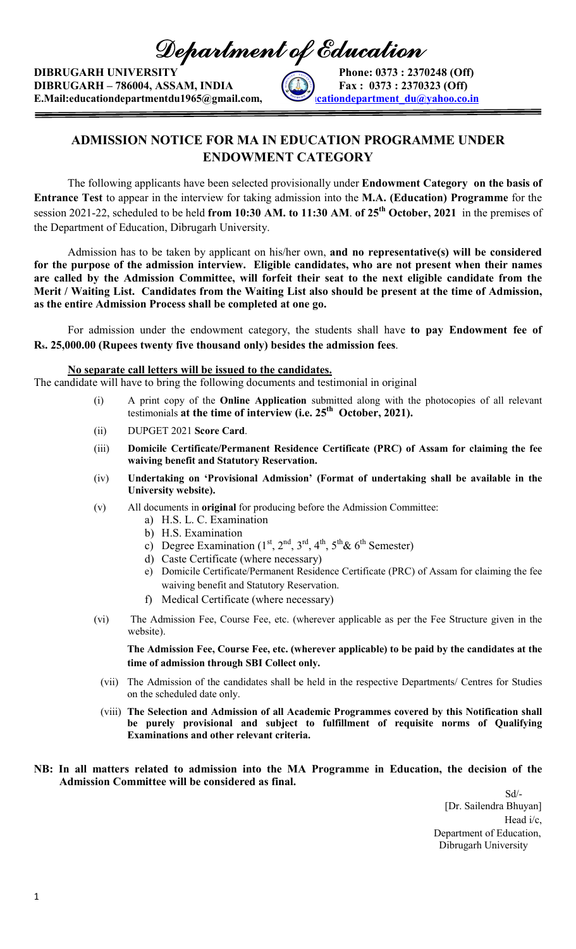Department of Education

DIBRUGARH UNIVERSITY Phone: 0373 : 2370248 (Off)  $DIBRUGARH - 786004, ASSAM, INDIA$   $[44]$   $[373 : 2370323 (Off)$ E.Mail:educationdepartmentdu1965@gmail.com, educationdepartment\_du@yahoo.co.in



## ADMISSION NOTICE FOR MA IN EDUCATION PROGRAMME UNDER ENDOWMENT CATEGORY

The following applicants have been selected provisionally under **Endowment Category** on the basis of Entrance Test to appear in the interview for taking admission into the M.A. (Education) Programme for the session 2021-22, scheduled to be held from 10:30 AM. to 11:30 AM. of 25<sup>th</sup> October, 2021 in the premises of the Department of Education, Dibrugarh University.

Admission has to be taken by applicant on his/her own, and no representative(s) will be considered for the purpose of the admission interview. Eligible candidates, who are not present when their names are called by the Admission Committee, will forfeit their seat to the next eligible candidate from the Merit / Waiting List. Candidates from the Waiting List also should be present at the time of Admission, as the entire Admission Process shall be completed at one go.

For admission under the endowment category, the students shall have to pay Endowment fee of Rs. 25,000.00 (Rupees twenty five thousand only) besides the admission fees.

## No separate call letters will be issued to the candidates.

The candidate will have to bring the following documents and testimonial in original

- (i) A print copy of the Online Application submitted along with the photocopies of all relevant testimonials at the time of interview (i.e. 25<sup>th</sup> October, 2021).
- (ii) DUPGET 2021 Score Card.
- (iii) Domicile Certificate/Permanent Residence Certificate (PRC) of Assam for claiming the fee waiving benefit and Statutory Reservation.
- (iv) Undertaking on 'Provisional Admission' (Format of undertaking shall be available in the University website).
- (v) All documents in original for producing before the Admission Committee:
	- a) H.S. L. C. Examination
	- b) H.S. Examination
	- c) Degree Examination  $(1<sup>st</sup>, 2<sup>nd</sup>, 3<sup>rd</sup>, 4<sup>th</sup>, 5<sup>th</sup>& 6<sup>th</sup> Semester)$
	- d) Caste Certificate (where necessary)
	- e) Domicile Certificate/Permanent Residence Certificate (PRC) of Assam for claiming the fee waiving benefit and Statutory Reservation.
	- f) Medical Certificate (where necessary)
- (vi) The Admission Fee, Course Fee, etc. (wherever applicable as per the Fee Structure given in the website).

The Admission Fee, Course Fee, etc. (wherever applicable) to be paid by the candidates at the time of admission through SBI Collect only.

- (vii) The Admission of the candidates shall be held in the respective Departments/ Centres for Studies on the scheduled date only.
- (viii) The Selection and Admission of all Academic Programmes covered by this Notification shall be purely provisional and subject to fulfillment of requisite norms of Qualifying Examinations and other relevant criteria.
- NB: In all matters related to admission into the MA Programme in Education, the decision of the Admission Committee will be considered as final.

 Sd/- [Dr. Sailendra Bhuyan] Head i/c, Department of Education, Dibrugarh University